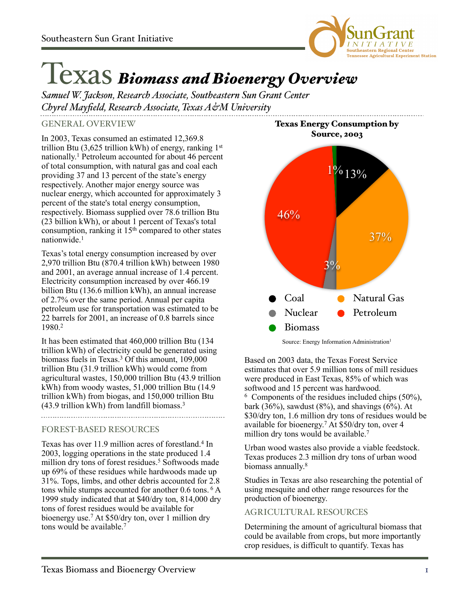

# Texas *Biomass and Bioenergy Overview*

*Samuel W. Jackson, Research Associate, Southeastern Sun Grant Center Chyrel Mayfield, Research Associate, Texas A&M University*

GENERAL OVERVIEW

In 2003, Texas consumed an estimated 12,369.8 trillion Btu  $(3.625 \text{ trillion kWh})$  of energy, ranking  $1<sup>st</sup>$ nationally. 1 Petroleum accounted for about 46 percent of total consumption, with natural gas and coal each providing 37 and 13 percent of the state's energy respectively. Another major energy source was nuclear energy, which accounted for approximately 3 percent of the state's total energy consumption, respectively. Biomass supplied over 78.6 trillion Btu (23 billion kWh), or about 1 percent of Texas's total consumption, ranking it  $15<sup>th</sup>$  compared to other states nationwide.1

Texas's total energy consumption increased by over 2,970 trillion Btu (870.4 trillion kWh) between 1980 and 2001, an average annual increase of 1.4 percent. Electricity consumption increased by over 466.19 billion Btu (136.6 million kWh), an annual increase of 2.7% over the same period. Annual per capita petroleum use for transportation was estimated to be 22 barrels for 2001, an increase of 0.8 barrels since 1980.2

It has been estimated that 460,000 trillion Btu (134 trillion kWh) of electricity could be generated using biomass fuels in Texas.3 Of this amount, 109,000 trillion Btu (31.9 trillion kWh) would come from agricultural wastes, 150,000 trillion Btu (43.9 trillion kWh) from woody wastes, 51,000 trillion Btu (14.9 trillion kWh) from biogas, and 150,000 trillion Btu (43.9 trillion kWh) from landfill biomass.3 

# FOREST-BASED RESOURCES

Texas has over 11.9 million acres of forestland.<sup>4</sup> In 2003, logging operations in the state produced 1.4 million dry tons of forest residues.<sup>5</sup> Softwoods made up 69% of these residues while hardwoods made up 31%. Tops, limbs, and other debris accounted for 2.8 tons while stumps accounted for another 0.6 tons. 6 A 1999 study indicated that at \$40/dry ton, 814,000 dry tons of forest residues would be available for bioenergy use.7 At \$50/dry ton, over 1 million dry tons would be available.<sup>7</sup>



Texas Energy Consumption by

Source: Energy Information Administration<sup>1</sup>

Based on 2003 data, the Texas Forest Service estimates that over 5.9 million tons of mill residues were produced in East Texas, 85% of which was softwood and 15 percent was hardwood.  $6$  Components of the residues included chips  $(50\%)$ , bark (36%), sawdust (8%), and shavings (6%). At \$30/dry ton, 1.6 million dry tons of residues would be available for bioenergy. <sup>7</sup> At \$50/dry ton, over 4 million dry tons would be available.<sup>7</sup>

Urban wood wastes also provide a viable feedstock. Texas produces 2.3 million dry tons of urban wood biomass annually. 8

Studies in Texas are also researching the potential of using mesquite and other range resources for the production of bioenergy.

### AGRICULTURAL RESOURCES

Determining the amount of agricultural biomass that could be available from crops, but more importantly crop residues, is difficult to quantify. Texas has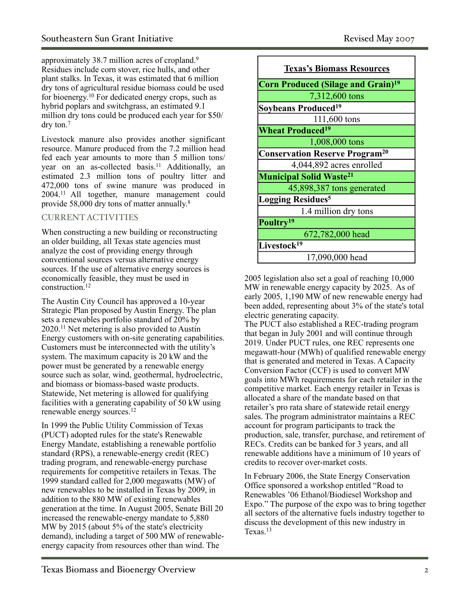approximately 38.7 million acres of cropland.9 Residues include corn stover, rice hulls, and other plant stalks. In Texas, it was estimated that 6 million dry tons of agricultural residue biomass could be used for bioenergy. 10 For dedicated energy crops, such as hybrid poplars and switchgrass, an estimated 9.1 million dry tons could be produced each year for \$50/ dry ton.7

Livestock manure also provides another significant resource. Manure produced from the 7.2 million head fed each year amounts to more than 5 million tons/ year on an as-collected basis.<sup>11</sup> Additionally, an estimated 2.3 million tons of poultry litter and 472,000 tons of swine manure was produced in 2004.11 All together, manure management could provide 58,000 dry tons of matter annually.<sup>8</sup>

# CURRENT ACTIVITIES

When constructing a new building or reconstructing an older building, all Texas state agencies must analyze the cost of providing energy through conventional sources versus alternative energy sources. If the use of alternative energy sources is economically feasible, they must be used in construction.12

The Austin City Council has approved a 10-year Strategic Plan proposed by Austin Energy. The plan sets a renewables portfolio standard of 20% by 2020.11 Net metering is also provided to Austin Energy customers with on-site generating capabilities. Customers must be interconnected with the utility's system. The maximum capacity is 20 kW and the power must be generated by a renewable energy source such as solar, wind, geothermal, hydroelectric, and biomass or biomass-based waste products. Statewide, Net metering is allowed for qualifying facilities with a generating capability of 50 kW using renewable energy sources.12

In 1999 the Public Utility Commission of Texas (PUCT) adopted rules for the state's Renewable Energy Mandate, establishing a renewable portfolio standard (RPS), a renewable-energy credit (REC) trading program, and renewable-energy purchase requirements for competitive retailers in Texas. The 1999 standard called for 2,000 megawatts (MW) of new renewables to be installed in Texas by 2009, in addition to the 880 MW of existing renewables generation at the time. In August 2005, Senate Bill 20 increased the renewable-energy mandate to 5,880 MW by 2015 (about 5% of the state's electricity demand), including a target of 500 MW of renewableenergy capacity from resources other than wind. The

| <b>Texas's Biomass Resources</b>                 |
|--------------------------------------------------|
| Corn Produced (Silage and Grain) <sup>19</sup>   |
| 7,312,600 tons                                   |
| Soybeans Produced <sup>19</sup>                  |
| 111,600 tons                                     |
| <b>Wheat Produced<sup>19</sup></b>               |
| 1,008,000 tons                                   |
| <b>Conservation Reserve Program<sup>20</sup></b> |
| 4,044,892 acres enrolled                         |
| <b>Municipal Solid Waste<sup>21</sup></b>        |
| 45,898,387 tons generated                        |
| <b>Logging Residues<sup>5</sup></b>              |
| 1.4 million dry tons                             |
| Poultry <sup>19</sup>                            |
| 672,782,000 head                                 |
| Livestock <sup>19</sup>                          |
| 17,090,000 head                                  |

2005 legislation also set a goal of reaching 10,000 MW in renewable energy capacity by 2025. As of early 2005, 1,190 MW of new renewable energy had been added, representing about 3% of the state's total electric generating capacity.

The PUCT also established a REC-trading program that began in July 2001 and will continue through 2019. Under PUCT rules, one REC represents one megawatt-hour (MWh) of qualified renewable energy that is generated and metered in Texas. A Capacity Conversion Factor (CCF) is used to convert MW goals into MWh requirements for each retailer in the competitive market. Each energy retailer in Texas is allocated a share of the mandate based on that retailer's pro rata share of statewide retail energy sales. The program administrator maintains a REC account for program participants to track the production, sale, transfer, purchase, and retirement of RECs. Credits can be banked for 3 years, and all renewable additions have a minimum of 10 years of credits to recover over-market costs.

In February 2006, the State Energy Conservation Office sponsored a workshop entitled "Road to Renewables '06 Ethanol/Biodiesel Workshop and Expo." The purpose of the expo was to bring together all sectors of the alternative fuels industry together to discuss the development of this new industry in Texas.13